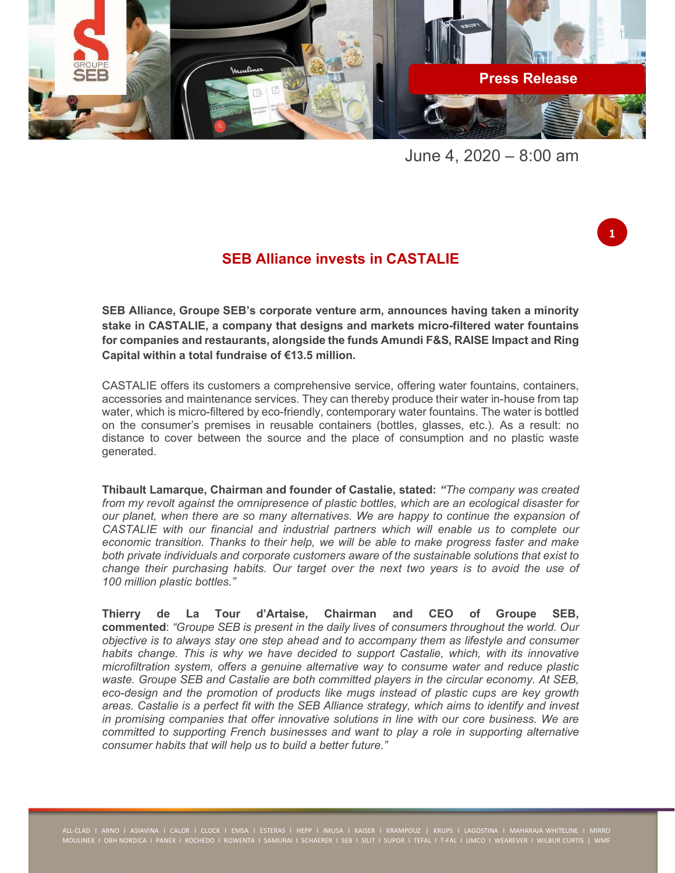

June 4, 2020 – 8:00 am

1

## SEB Alliance invests in CASTALIE

SEB Alliance, Groupe SEB's corporate venture arm, announces having taken a minority stake in CASTALIE, a company that designs and markets micro-filtered water fountains for companies and restaurants, alongside the funds Amundi F&S, RAISE Impact and Ring Capital within a total fundraise of €13.5 million.

CASTALIE offers its customers a comprehensive service, offering water fountains, containers, accessories and maintenance services. They can thereby produce their water in-house from tap water, which is micro-filtered by eco-friendly, contemporary water fountains. The water is bottled on the consumer's premises in reusable containers (bottles, glasses, etc.). As a result: no distance to cover between the source and the place of consumption and no plastic waste generated.

Thibault Lamarque, Chairman and founder of Castalie, stated: "The company was created from my revolt against the omnipresence of plastic bottles, which are an ecological disaster for our planet, when there are so many alternatives. We are happy to continue the expansion of CASTALIE with our financial and industrial partners which will enable us to complete our economic transition. Thanks to their help, we will be able to make progress faster and make both private individuals and corporate customers aware of the sustainable solutions that exist to change their purchasing habits. Our target over the next two years is to avoid the use of 100 million plastic bottles."

Thierry de La Tour d'Artaise, Chairman and CEO of Groupe SEB, commented: "Groupe SEB is present in the daily lives of consumers throughout the world. Our objective is to always stay one step ahead and to accompany them as lifestyle and consumer habits change. This is why we have decided to support Castalie, which, with its innovative microfiltration system, offers a genuine alternative way to consume water and reduce plastic waste. Groupe SEB and Castalie are both committed players in the circular economy. At SEB, eco-design and the promotion of products like mugs instead of plastic cups are key growth areas. Castalie is a perfect fit with the SEB Alliance strategy, which aims to identify and invest in promising companies that offer innovative solutions in line with our core business. We are committed to supporting French businesses and want to play a role in supporting alternative consumer habits that will help us to build a better future."